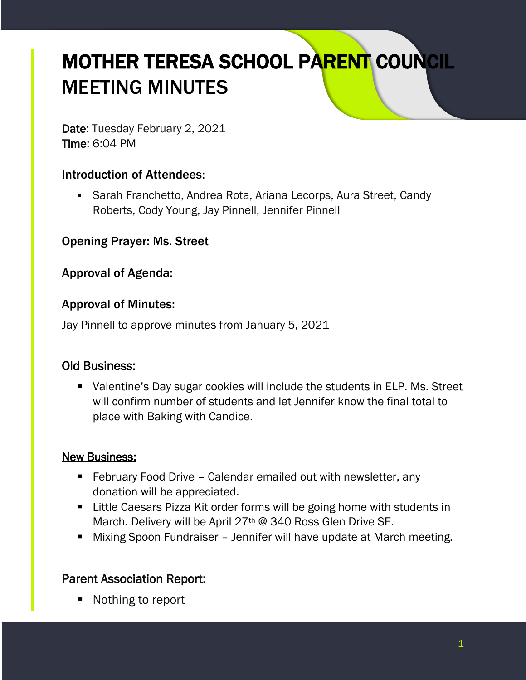# MOTHER TERESA SCHOOL PARENT COUNCIL MEETING MINUTES

Date: Tuesday February 2, 2021 Time: 6:04 PM

## Introduction of Attendees:

■ Sarah Franchetto, Andrea Rota, Ariana Lecorps, Aura Street, Candy Roberts, Cody Young, Jay Pinnell, Jennifer Pinnell

Opening Prayer: Ms. Street

Approval of Agenda:

### Approval of Minutes:

Jay Pinnell to approve minutes from January 5, 2021

### Old Business:

■ Valentine's Day sugar cookies will include the students in ELP. Ms. Street will confirm number of students and let Jennifer know the final total to place with Baking with Candice.

#### New Business:

- February Food Drive Calendar emailed out with newsletter, any donation will be appreciated.
- Little Caesars Pizza Kit order forms will be going home with students in March. Delivery will be April 27<sup>th</sup> @ 340 Ross Glen Drive SE.
- Mixing Spoon Fundraiser Jennifer will have update at March meeting.

## Parent Association Report:

■ Nothing to report